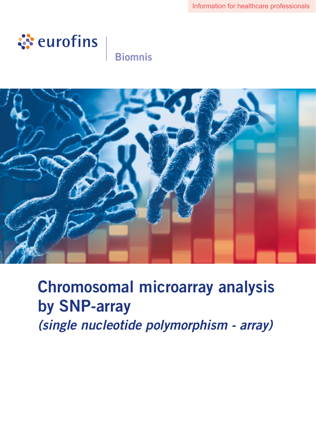

# **Biomnis**



Chromosomal microarray analysis by SNP-array *(single nucleotide polymorphism - array)*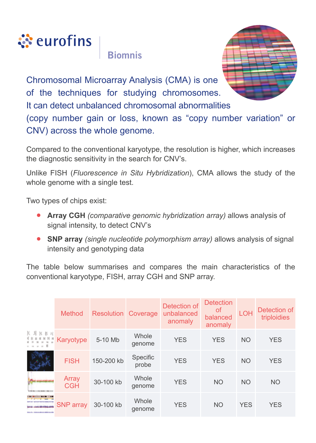

**Riomnis** 



Chromosomal Microarray Analysis (CMA) is one of the techniques for studying chromosomes. It can detect unbalanced chromosomal abnormalities

(copy number gain or loss, known as "copy number variation" or CNV) across the whole genome.

Compared to the conventional karyotype, the resolution is higher, which increases the diagnostic sensitivity in the search for CNV's.

Unlike FISH (*Fluorescence in Situ Hybridization*), CMA allows the study of the whole genome with a single test.

Two types of chips exist:

- **• Array CGH** *(comparative genomic hybridization array)* allows analysis of signal intensity, to detect CNV's
- **• SNP array** *(single nucleotide polymorphism array)* allows analysis of signal intensity and genotyping data

The table below summarises and compares the main characteristics of the conventional karyotype, FISH, array CGH and SNP array.

|             | <b>Method</b>       | <b>Resolution Coverage</b> |                   | Detection of<br>unbalanced<br>anomaly | <b>Detection</b><br>0f<br>balanced<br>anomaly | <b>LOH</b> | Detection of<br>triploidies |
|-------------|---------------------|----------------------------|-------------------|---------------------------------------|-----------------------------------------------|------------|-----------------------------|
| $K$ A K B N | Karyotype           | 5-10 Mb                    | Whole<br>genome   | <b>YES</b>                            | <b>YES</b>                                    | <b>NO</b>  | <b>YES</b>                  |
|             | <b>FISH</b>         | 150-200 kb                 | Specific<br>probe | <b>YES</b>                            | <b>YES</b>                                    | <b>NO</b>  | <b>YES</b>                  |
|             | Array<br><b>CGH</b> | 30-100 kb                  | Whole<br>genome   | <b>YES</b>                            | <b>NO</b>                                     | <b>NO</b>  | <b>NO</b>                   |
|             | <b>SNP</b> array    | 30-100 kb                  | Whole<br>genome   | <b>YES</b>                            | <b>NO</b>                                     | <b>YES</b> | <b>YES</b>                  |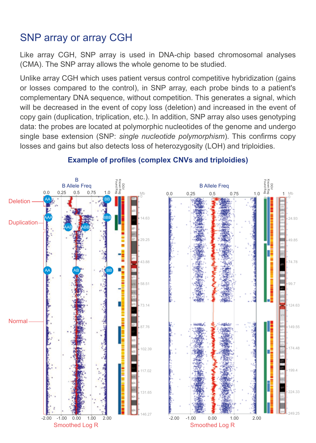## SNP array or array CGH

Like array CGH, SNP array is used in DNA-chip based chromosomal analyses (CMA). The SNP array allows the whole genome to be studied.

Unlike array CGH which uses patient versus control competitive hybridization (gains or losses compared to the control), in SNP array, each probe binds to a patient's complementary DNA sequence, without competition. This generates a signal, which will be decreased in the event of copy loss (deletion) and increased in the event of copy gain (duplication, triplication, etc.). In addition, SNP array also uses genotyping data: the probes are located at polymorphic nucleotides of the genome and undergo single base extension (SNP: *single nucleotide polymorphism*). This confirms copy losses and gains but also detects loss of heterozygosity (LOH) and triploidies.



#### **Example of profiles (complex CNVs and triploidies)**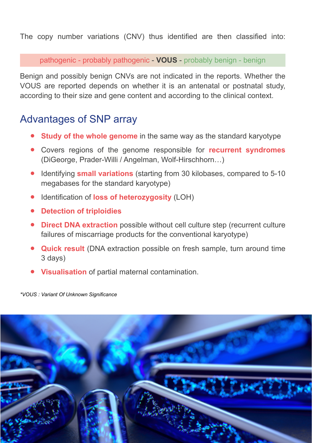The copy number variations (CNV) thus identified are then classified into:

pathogenic - probably pathogenic - **VOUS** - probably benign - benign

Benign and possibly benign CNVs are not indicated in the reports. Whether the VOUS are reported depends on whether it is an antenatal or postnatal study, according to their size and gene content and according to the clinical context.

### Advantages of SNP array

- **• Study of the whole genome** in the same way as the standard karyotype
- **•** Covers regions of the genome responsible for **recurrent syndromes**  (DiGeorge, Prader-Willi / Angelman, Wolf-Hirschhorn…)
- **•** Identifying **small variations** (starting from 30 kilobases, compared to 5-10 megabases for the standard karyotype)
- **•** Identification of **loss of heterozygosity** (LOH)
- **• Detection of triploidies**
- **• Direct DNA extraction** possible without cell culture step (recurrent culture failures of miscarriage products for the conventional karyotype)
- **• Quick result** (DNA extraction possible on fresh sample, turn around time 3 days)
- **• Visualisation** of partial maternal contamination.

*\*VOUS : Variant Of Unknown Significance*

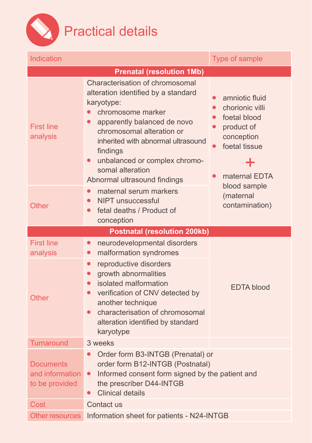

| Indication                                            | Type of sample                                                                                                                                                                                                                                                                                                                         |                                                                                                                                                             |  |  |  |  |  |
|-------------------------------------------------------|----------------------------------------------------------------------------------------------------------------------------------------------------------------------------------------------------------------------------------------------------------------------------------------------------------------------------------------|-------------------------------------------------------------------------------------------------------------------------------------------------------------|--|--|--|--|--|
| <b>Prenatal (resolution 1Mb)</b>                      |                                                                                                                                                                                                                                                                                                                                        |                                                                                                                                                             |  |  |  |  |  |
| <b>First line</b><br>analysis                         | Characterisation of chromosomal<br>alteration identified by a standard<br>karyotype:<br>chromosome marker<br>apparently balanced de novo<br>$\bullet$<br>chromosomal alteration or<br>inherited with abnormal ultrasound<br>findings<br>unbalanced or complex chromo-<br>$\bullet$<br>somal alteration<br>Abnormal ultrasound findings | amniotic fluid<br>chorionic villi<br>$\bullet$<br>foetal blood<br>$\bullet$<br>product of<br>$\bullet$<br>conception<br>foetal tissue<br>╈<br>maternal EDTA |  |  |  |  |  |
| Other                                                 | maternal serum markers<br>$\bullet$<br>NIPT unsuccessful<br>$\bullet$<br>fetal deaths / Product of<br>$\bullet$<br>conception                                                                                                                                                                                                          | blood sample<br>(maternal<br>contamination)                                                                                                                 |  |  |  |  |  |
| <b>Postnatal (resolution 200kb)</b>                   |                                                                                                                                                                                                                                                                                                                                        |                                                                                                                                                             |  |  |  |  |  |
| <b>First line</b><br>analysis                         | neurodevelopmental disorders<br>$\bullet$<br>malformation syndromes<br>$\bullet$                                                                                                                                                                                                                                                       |                                                                                                                                                             |  |  |  |  |  |
| <b>Other</b>                                          | reproductive disorders<br>$\bullet$<br>growth abnormalities<br>$\bullet$<br>isolated malformation<br>$\bullet$<br>verification of CNV detected by<br>$\bullet$<br>another technique<br>characterisation of chromosomal<br>$\bullet$<br>alteration identified by standard<br>karyotype                                                  | <b>EDTA</b> blood                                                                                                                                           |  |  |  |  |  |
| Turnaround                                            | 3 weeks                                                                                                                                                                                                                                                                                                                                |                                                                                                                                                             |  |  |  |  |  |
| <b>Documents</b><br>and information<br>to be provided | Order form B3-INTGB (Prenatal) or<br>$\bullet$<br>order form B12-INTGB (Postnatal)<br>Informed consent form signed by the patient and<br>$\bullet$<br>the prescriber D44-INTGB<br><b>Clinical details</b>                                                                                                                              |                                                                                                                                                             |  |  |  |  |  |
| Cost                                                  | Contact us                                                                                                                                                                                                                                                                                                                             |                                                                                                                                                             |  |  |  |  |  |
| Other resources                                       | Information sheet for patients - N24-INTGB                                                                                                                                                                                                                                                                                             |                                                                                                                                                             |  |  |  |  |  |